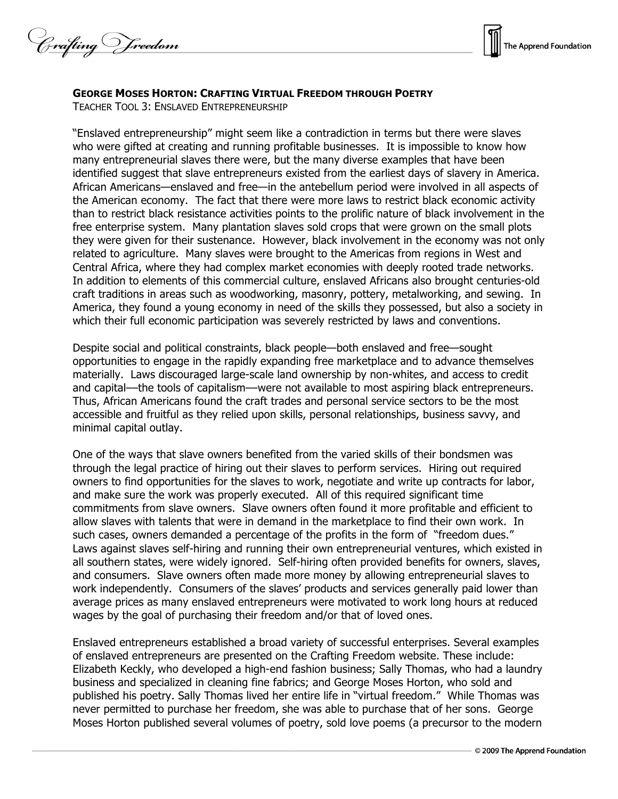Crafting Vreedom



## **GEORGE MOSES HORTON: CRAFTING VIRTUAL FREEDOM THROUGH POETRY**

TEACHER TOOL 3: ENSLAVED ENTREPRENEURSHIP

"Enslaved entrepreneurship" might seem like a contradiction in terms but there were slaves who were gifted at creating and running profitable businesses. It is impossible to know how many entrepreneurial slaves there were, but the many diverse examples that have been identified suggest that slave entrepreneurs existed from the earliest days of slavery in America. African Americans—enslaved and free—in the antebellum period were involved in all aspects of the American economy. The fact that there were more laws to restrict black economic activity than to restrict black resistance activities points to the prolific nature of black involvement in the free enterprise system. Many plantation slaves sold crops that were grown on the small plots they were given for their sustenance. However, black involvement in the economy was not only related to agriculture. Many slaves were brought to the Americas from regions in West and Central Africa, where they had complex market economies with deeply rooted trade networks. In addition to elements of this commercial culture, enslaved Africans also brought centuries-old craft traditions in areas such as woodworking, masonry, pottery, metalworking, and sewing. In America, they found a young economy in need of the skills they possessed, but also a society in which their full economic participation was severely restricted by laws and conventions.

Despite social and political constraints, black people—both enslaved and free—sought opportunities to engage in the rapidly expanding free marketplace and to advance themselves materially. Laws discouraged large-scale land ownership by non-whites, and access to credit and capital––the tools of capitalism––were not available to most aspiring black entrepreneurs. Thus, African Americans found the craft trades and personal service sectors to be the most accessible and fruitful as they relied upon skills, personal relationships, business savvy, and minimal capital outlay.

One of the ways that slave owners benefited from the varied skills of their bondsmen was through the legal practice of hiring out their slaves to perform services. Hiring out required owners to find opportunities for the slaves to work, negotiate and write up contracts for labor, and make sure the work was properly executed. All of this required significant time commitments from slave owners. Slave owners often found it more profitable and efficient to allow slaves with talents that were in demand in the marketplace to find their own work. In such cases, owners demanded a percentage of the profits in the form of "freedom dues." Laws against slaves self-hiring and running their own entrepreneurial ventures, which existed in all southern states, were widely ignored. Self-hiring often provided benefits for owners, slaves, and consumers. Slave owners often made more money by allowing entrepreneurial slaves to work independently. Consumers of the slaves' products and services generally paid lower than average prices as many enslaved entrepreneurs were motivated to work long hours at reduced wages by the goal of purchasing their freedom and/or that of loved ones.

Enslaved entrepreneurs established a broad variety of successful enterprises. Several examples of enslaved entrepreneurs are presented on the Crafting Freedom website. These include: Elizabeth Keckly, who developed a high-end fashion business; Sally Thomas, who had a laundry business and specialized in cleaning fine fabrics; and George Moses Horton, who sold and published his poetry. Sally Thomas lived her entire life in "virtual freedom." While Thomas was never permitted to purchase her freedom, she was able to purchase that of her sons. George Moses Horton published several volumes of poetry, sold love poems (a precursor to the modern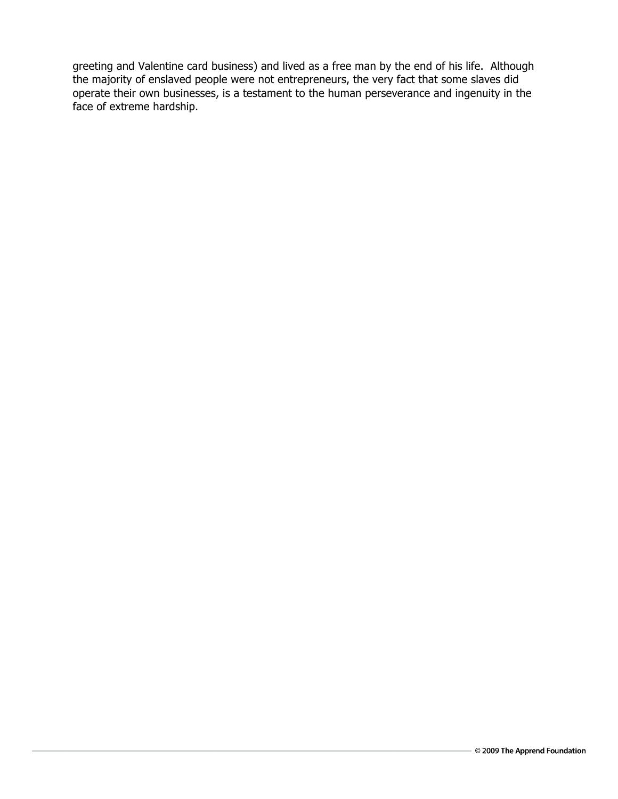greeting and Valentine card business) and lived as a free man by the end of his life. Although the majority of enslaved people were not entrepreneurs, the very fact that some slaves did operate their own businesses, is a testament to the human perseverance and ingenuity in the face of extreme hardship.